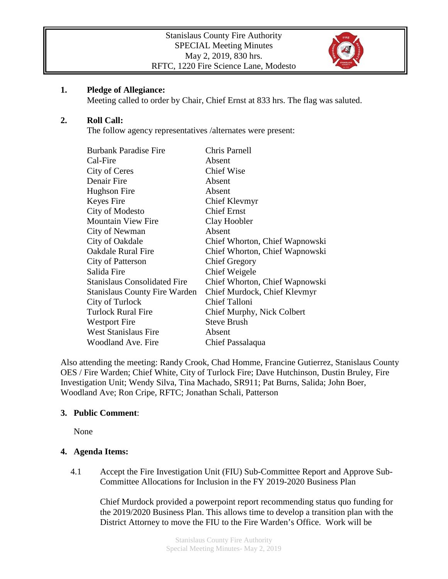

## **1. Pledge of Allegiance:**

Meeting called to order by Chair, Chief Ernst at 833 hrs. The flag was saluted.

# **2. Roll Call:**

The follow agency representatives /alternates were present:

| <b>Burbank Paradise Fire</b>         | Chris Parnell                  |
|--------------------------------------|--------------------------------|
| Cal-Fire                             | Absent                         |
| City of Ceres                        | <b>Chief Wise</b>              |
| Denair Fire                          | Absent                         |
| Hughson Fire                         | Absent                         |
| Keyes Fire                           | Chief Klevmyr                  |
| City of Modesto                      | <b>Chief Ernst</b>             |
| <b>Mountain View Fire</b>            | Clay Hoobler                   |
| City of Newman                       | Absent                         |
| City of Oakdale                      | Chief Whorton, Chief Wapnowski |
| <b>Oakdale Rural Fire</b>            | Chief Whorton, Chief Wapnowski |
| City of Patterson                    | <b>Chief Gregory</b>           |
| Salida Fire                          | Chief Weigele                  |
| <b>Stanislaus Consolidated Fire</b>  | Chief Whorton, Chief Wapnowski |
| <b>Stanislaus County Fire Warden</b> | Chief Murdock, Chief Klevmyr   |
| City of Turlock                      | <b>Chief Talloni</b>           |
| <b>Turlock Rural Fire</b>            | Chief Murphy, Nick Colbert     |
| Westport Fire                        | <b>Steve Brush</b>             |
| <b>West Stanislaus Fire</b>          | Absent                         |
| <b>Woodland Ave. Fire</b>            | Chief Passalaqua               |

Also attending the meeting: Randy Crook, Chad Homme, Francine Gutierrez, Stanislaus County OES / Fire Warden; Chief White, City of Turlock Fire; Dave Hutchinson, Dustin Bruley, Fire Investigation Unit; Wendy Silva, Tina Machado, SR911; Pat Burns, Salida; John Boer, Woodland Ave; Ron Cripe, RFTC; Jonathan Schali, Patterson

# **3. Public Comment**:

None

# **4. Agenda Items:**

4.1 Accept the Fire Investigation Unit (FIU) Sub-Committee Report and Approve Sub-Committee Allocations for Inclusion in the FY 2019-2020 Business Plan

Chief Murdock provided a powerpoint report recommending status quo funding for the 2019/2020 Business Plan. This allows time to develop a transition plan with the District Attorney to move the FIU to the Fire Warden's Office. Work will be